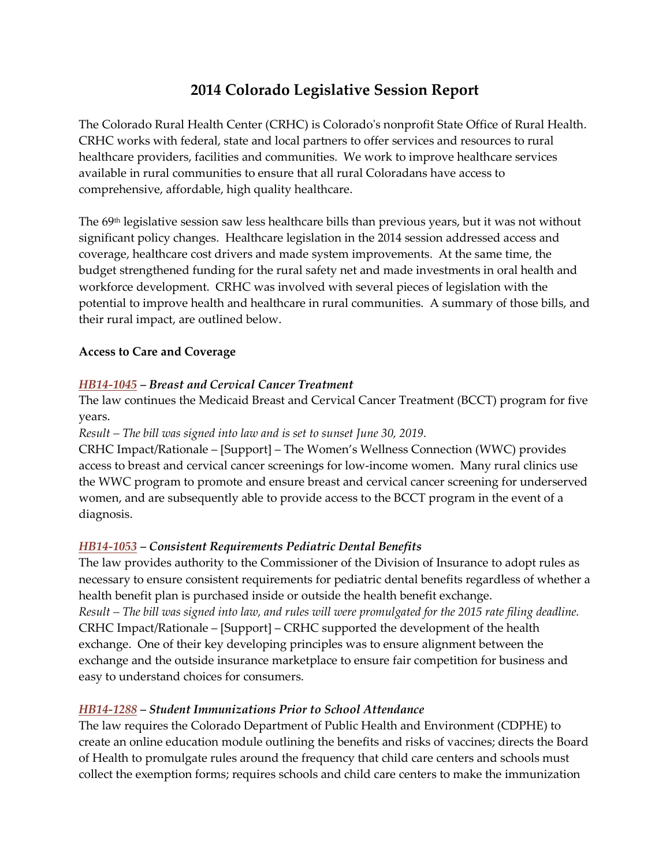# **2014 Colorado Legislative Session Report**

The Colorado Rural Health Center (CRHC) is Colorado's nonprofit State Office of Rural Health. CRHC works with federal, state and local partners to offer services and resources to rural healthcare providers, facilities and communities. We work to improve healthcare services available in rural communities to ensure that all rural Coloradans have access to comprehensive, affordable, high quality healthcare.

The 69<sup>th</sup> legislative session saw less healthcare bills than previous years, but it was not without significant policy changes. Healthcare legislation in the 2014 session addressed access and coverage, healthcare cost drivers and made system improvements. At the same time, the budget strengthened funding for the rural safety net and made investments in oral health and workforce development. CRHC was involved with several pieces of legislation with the potential to improve health and healthcare in rural communities. A summary of those bills, and their rural impact, are outlined below.

# **Access to Care and Coverage**

# *[HB14-1045](http://www.leg.state.co.us/clics/clics2014a/csl.nsf/fsbillcont3/2F8E7BDFADB0FC3187257C300006FA0E?open&file=1045_enr.pdf) – Breast and Cervical Cancer Treatment*

The law continues the Medicaid Breast and Cervical Cancer Treatment (BCCT) program for five years.

*Result – The bill was signed into law and is set to sunset June 30, 2019.* 

CRHC Impact/Rationale – [Support] – The Women's Wellness Connection (WWC) provides access to breast and cervical cancer screenings for low-income women. Many rural clinics use the WWC program to promote and ensure breast and cervical cancer screening for underserved women, and are subsequently able to provide access to the BCCT program in the event of a diagnosis.

# *[HB14-1053](http://www.leg.state.co.us/clics/clics2014a/csl.nsf/fsbillcont3/80E68A236D4E95D187257C300006C18D?open&file=1053_enr.pdf) – Consistent Requirements Pediatric Dental Benefits*

The law provides authority to the Commissioner of the Division of Insurance to adopt rules as necessary to ensure consistent requirements for pediatric dental benefits regardless of whether a health benefit plan is purchased inside or outside the health benefit exchange. *Result – The bill was signed into law, and rules will were promulgated for the 2015 rate filing deadline.*  CRHC Impact/Rationale – [Support] – CRHC supported the development of the health exchange. One of their key developing principles was to ensure alignment between the exchange and the outside insurance marketplace to ensure fair competition for business and easy to understand choices for consumers.

# *[HB14-1288](http://www.leg.state.co.us/clics/clics2014a/csl.nsf/fsbillcont3/94D61307D2B5926387257C360075EBCB?open&file=1288_enr.pdf) – Student Immunizations Prior to School Attendance*

The law requires the Colorado Department of Public Health and Environment (CDPHE) to create an online education module outlining the benefits and risks of vaccines; directs the Board of Health to promulgate rules around the frequency that child care centers and schools must collect the exemption forms; requires schools and child care centers to make the immunization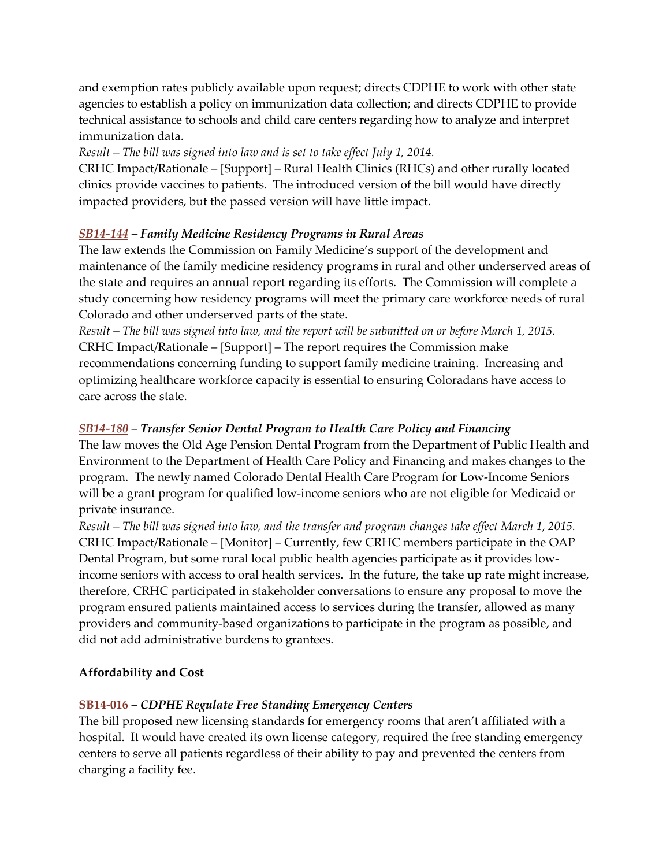and exemption rates publicly available upon request; directs CDPHE to work with other state agencies to establish a policy on immunization data collection; and directs CDPHE to provide technical assistance to schools and child care centers regarding how to analyze and interpret immunization data.

### *Result – The bill was signed into law and is set to take effect July 1, 2014.*

CRHC Impact/Rationale – [Support] – Rural Health Clinics (RHCs) and other rurally located clinics provide vaccines to patients. The introduced version of the bill would have directly impacted providers, but the passed version will have little impact.

# *[SB14-144](http://www.leg.state.co.us/clics/clics2014a/csl.nsf/fsbillcont3/190C97E3D69E5CFD87257C360078CC81?open&file=144_enr.pdf) – Family Medicine Residency Programs in Rural Areas*

The law extends the Commission on Family Medicine's support of the development and maintenance of the family medicine residency programs in rural and other underserved areas of the state and requires an annual report regarding its efforts. The Commission will complete a study concerning how residency programs will meet the primary care workforce needs of rural Colorado and other underserved parts of the state.

*Result – The bill was signed into law, and the report will be submitted on or before March 1, 2015.*  CRHC Impact/Rationale – [Support] – The report requires the Commission make recommendations concerning funding to support family medicine training. Increasing and optimizing healthcare workforce capacity is essential to ensuring Coloradans have access to care across the state.

# *[SB14-180](http://www.leg.state.co.us/clics/clics2014a/csl.nsf/fsbillcont3/07F33FD71ACE57F287257C860080A02F?open&file=180_enr.pdf) – Transfer Senior Dental Program to Health Care Policy and Financing*

The law moves the Old Age Pension Dental Program from the Department of Public Health and Environment to the Department of Health Care Policy and Financing and makes changes to the program. The newly named Colorado Dental Health Care Program for Low-Income Seniors will be a grant program for qualified low-income seniors who are not eligible for Medicaid or private insurance.

*Result – The bill was signed into law, and the transfer and program changes take effect March 1, 2015.*  CRHC Impact/Rationale – [Monitor] – Currently, few CRHC members participate in the OAP Dental Program, but some rural local public health agencies participate as it provides lowincome seniors with access to oral health services. In the future, the take up rate might increase, therefore, CRHC participated in stakeholder conversations to ensure any proposal to move the program ensured patients maintained access to services during the transfer, allowed as many providers and community-based organizations to participate in the program as possible, and did not add administrative burdens to grantees.

# **Affordability and Cost**

# **[SB14-016](http://www.leg.state.co.us/clics/clics2014a/csl.nsf/fsbillcont3/DFCC8132D25D9DA787257C3000062034?open&file=016_01.pdf)** *– CDPHE Regulate Free Standing Emergency Centers*

The bill proposed new licensing standards for emergency rooms that aren't affiliated with a hospital. It would have created its own license category, required the free standing emergency centers to serve all patients regardless of their ability to pay and prevented the centers from charging a facility fee.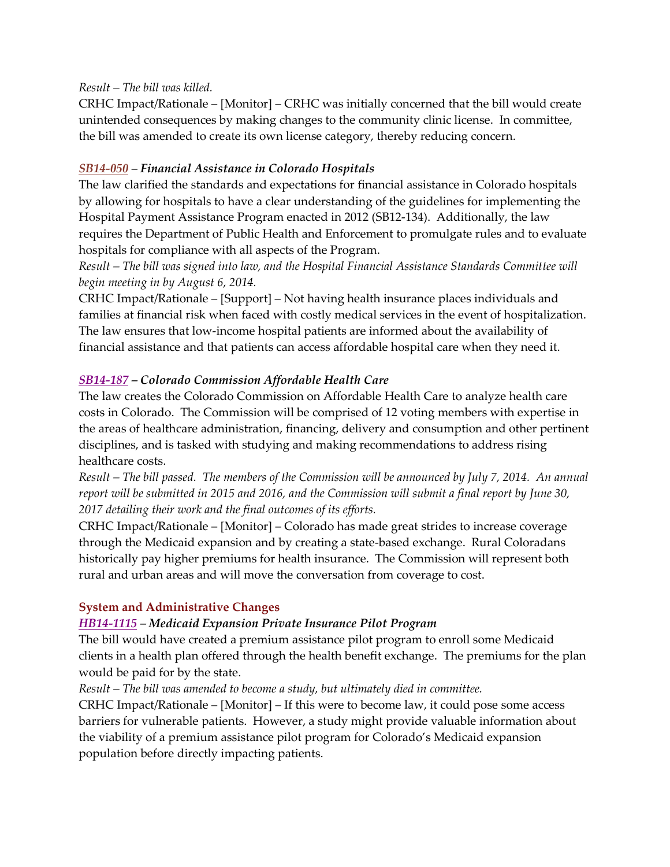#### *Result – The bill was killed.*

CRHC Impact/Rationale – [Monitor] – CRHC was initially concerned that the bill would create unintended consequences by making changes to the community clinic license. In committee, the bill was amended to create its own license category, thereby reducing concern.

#### *[SB14-050](http://www.leg.state.co.us/clics/clics2014a/csl.nsf/fsbillcont3/B0AE346CF3A6AB7F87257C4300636A3F?open&file=050_enr.pdf) – Financial Assistance in Colorado Hospitals*

The law clarified the standards and expectations for financial assistance in Colorado hospitals by allowing for hospitals to have a clear understanding of the guidelines for implementing the Hospital Payment Assistance Program enacted in 2012 (SB12-134). Additionally, the law requires the Department of Public Health and Enforcement to promulgate rules and to evaluate hospitals for compliance with all aspects of the Program.

*Result – The bill was signed into law, and the Hospital Financial Assistance Standards Committee will begin meeting in by August 6, 2014.* 

CRHC Impact/Rationale – [Support] – Not having health insurance places individuals and families at financial risk when faced with costly medical services in the event of hospitalization. The law ensures that low-income hospital patients are informed about the availability of financial assistance and that patients can access affordable hospital care when they need it.

#### *[SB14-187](http://www.leg.state.co.us/clics/clics2014a/csl.nsf/fsbillcont3/CE2BF2264305C4CC87257C360078C30E?open&file=187_enr.pdf) – Colorado Commission Affordable Health Care*

The law creates the Colorado Commission on Affordable Health Care to analyze health care costs in Colorado. The Commission will be comprised of 12 voting members with expertise in the areas of healthcare administration, financing, delivery and consumption and other pertinent disciplines, and is tasked with studying and making recommendations to address rising healthcare costs.

*Result – The bill passed. The members of the Commission will be announced by July 7, 2014. An annual report will be submitted in 2015 and 2016, and the Commission will submit a final report by June 30, 2017 detailing their work and the final outcomes of its efforts.*

CRHC Impact/Rationale – [Monitor] – Colorado has made great strides to increase coverage through the Medicaid expansion and by creating a state-based exchange. Rural Coloradans historically pay higher premiums for health insurance. The Commission will represent both rural and urban areas and will move the conversation from coverage to cost.

#### **System and Administrative Changes**

# *[HB14-1115](http://www.leg.state.co.us/clics/clics2014a/csl.nsf/fsbillcont3/40754454E62954FE87257C360078CFB0?open&file=1115_01.pdf) – Medicaid Expansion Private Insurance Pilot Program*

The bill would have created a premium assistance pilot program to enroll some Medicaid clients in a health plan offered through the health benefit exchange. The premiums for the plan would be paid for by the state.

#### *Result – The bill was amended to become a study, but ultimately died in committee.*

CRHC Impact/Rationale – [Monitor] – If this were to become law, it could pose some access barriers for vulnerable patients. However, a study might provide valuable information about the viability of a premium assistance pilot program for Colorado's Medicaid expansion population before directly impacting patients.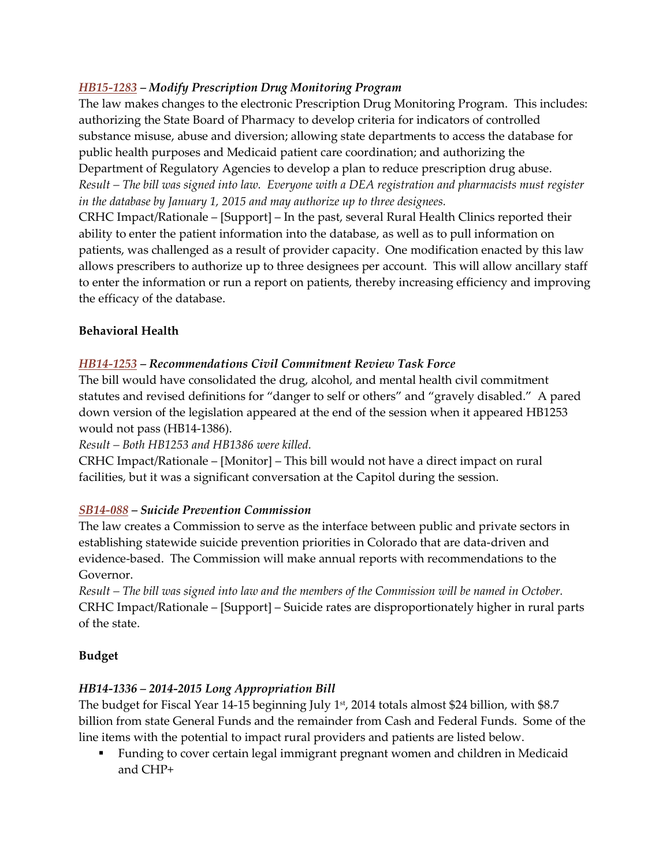# *[HB15-1283](http://www.leg.state.co.us/clics/clics2014a/csl.nsf/fsbillcont3/B40C81F74784059D87257C300005EC23?open&file=1283_enr.pdf) – Modify Prescription Drug Monitoring Program*

The law makes changes to the electronic Prescription Drug Monitoring Program. This includes: authorizing the State Board of Pharmacy to develop criteria for indicators of controlled substance misuse, abuse and diversion; allowing state departments to access the database for public health purposes and Medicaid patient care coordination; and authorizing the Department of Regulatory Agencies to develop a plan to reduce prescription drug abuse. *Result – The bill was signed into law. Everyone with a DEA registration and pharmacists must register in the database by January 1, 2015 and may authorize up to three designees.* 

CRHC Impact/Rationale – [Support] – In the past, several Rural Health Clinics reported their ability to enter the patient information into the database, as well as to pull information on patients, was challenged as a result of provider capacity. One modification enacted by this law allows prescribers to authorize up to three designees per account. This will allow ancillary staff to enter the information or run a report on patients, thereby increasing efficiency and improving the efficacy of the database.

# **Behavioral Health**

# *[HB14-1253](http://www.leg.state.co.us/clics/clics2014a/csl.nsf/fsbillcont/7DED9821E16FA74787257C300005FA8F?Open&target=/clics/clics2014a/csl.nsf/billsummary/A0E5348676FEA9F187257C0E005DA2A0?opendocument) – Recommendations Civil Commitment Review Task Force*

The bill would have consolidated the drug, alcohol, and mental health civil commitment statutes and revised definitions for "danger to self or others" and "gravely disabled." A pared down version of the legislation appeared at the end of the session when it appeared HB1253 would not pass (HB14-1386).

# *Result – Both HB1253 and HB1386 were killed.*

CRHC Impact/Rationale – [Monitor] – This bill would not have a direct impact on rural facilities, but it was a significant conversation at the Capitol during the session.

# *[SB14-088](http://www.leg.state.co.us/clics/clics2014a/csl.nsf/fsbillcont3/D1D11353A28C43A887257C360078DCC3?open&file=088_enr.pdf) – Suicide Prevention Commission*

The law creates a Commission to serve as the interface between public and private sectors in establishing statewide suicide prevention priorities in Colorado that are data-driven and evidence-based. The Commission will make annual reports with recommendations to the Governor.

*Result – The bill was signed into law and the members of the Commission will be named in October.*  CRHC Impact/Rationale – [Support] – Suicide rates are disproportionately higher in rural parts of the state.

# **Budget**

# *HB14-1336 – 2014-2015 Long Appropriation Bill*

The budget for Fiscal Year 14-15 beginning July 1<sup>st</sup>, 2014 totals almost \$24 billion, with \$8.7 billion from state General Funds and the remainder from Cash and Federal Funds. Some of the line items with the potential to impact rural providers and patients are listed below.

 Funding to cover certain legal immigrant pregnant women and children in Medicaid and CHP+